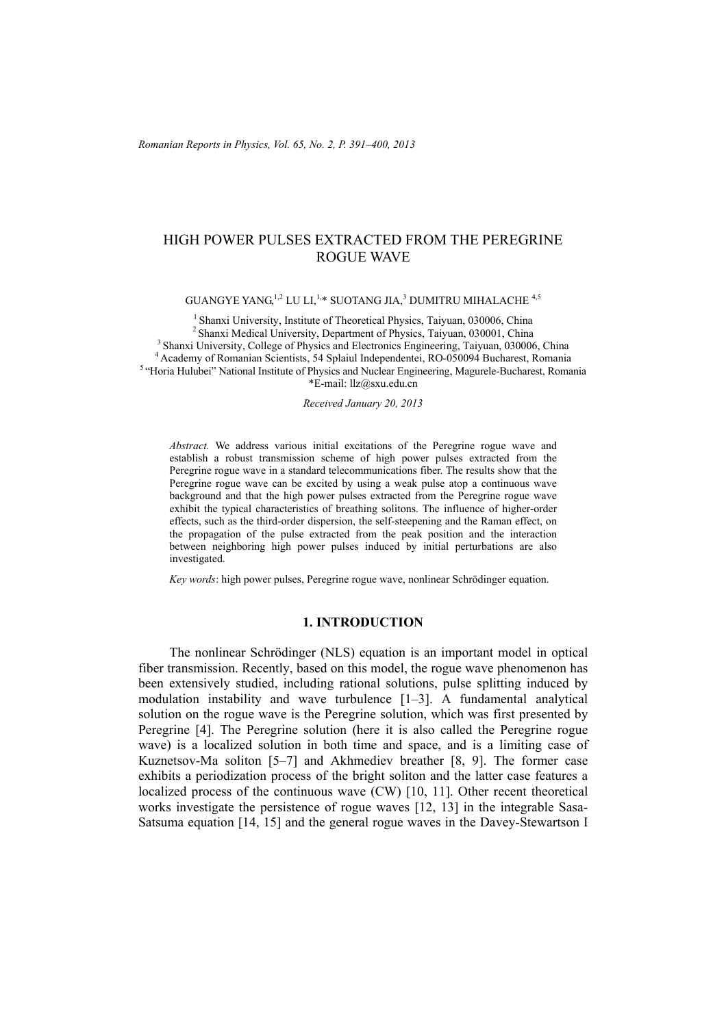# HIGH POWER PULSES EXTRACTED FROM THE PEREGRINE ROGUE WAVE

GUANGYE YANG $^{1,2}$  LU LI, $^{1,\ast}$  SUOTANG JIA, $^3$  DUMITRU MIHALACHE  $^{4,5}$ 

<sup>1</sup> Shanxi University, Institute of Theoretical Physics, Taiyuan, 030006, China<br><sup>2</sup> Shanxi Medical University, Department of Physics, Taiyuan, 030001, China<br><sup>3</sup> Shanxi University, College of Physics and Electronics Enginee \*E-mail: llz@sxu.edu.cn

*Received January 20, 2013* 

*Abstract.* We address various initial excitations of the Peregrine rogue wave and establish a robust transmission scheme of high power pulses extracted from the Peregrine rogue wave in a standard telecommunications fiber. The results show that the Peregrine rogue wave can be excited by using a weak pulse atop a continuous wave background and that the high power pulses extracted from the Peregrine rogue wave exhibit the typical characteristics of breathing solitons. The influence of higher-order effects, such as the third-order dispersion, the self-steepening and the Raman effect, on the propagation of the pulse extracted from the peak position and the interaction between neighboring high power pulses induced by initial perturbations are also investigated.

*Key words*: high power pulses, Peregrine rogue wave, nonlinear Schrödinger equation.

#### **1. INTRODUCTION**

The nonlinear Schrödinger (NLS) equation is an important model in optical fiber transmission. Recently, based on this model, the rogue wave phenomenon has been extensively studied, including rational solutions, pulse splitting induced by modulation instability and wave turbulence [1–3]. A fundamental analytical solution on the rogue wave is the Peregrine solution, which was first presented by Peregrine [4]. The Peregrine solution (here it is also called the Peregrine rogue wave) is a localized solution in both time and space, and is a limiting case of Kuznetsov-Ma soliton [5–7] and Akhmediev breather [8, 9]. The former case exhibits a periodization process of the bright soliton and the latter case features a localized process of the continuous wave (CW) [10, 11]. Other recent theoretical works investigate the persistence of rogue waves [12, 13] in the integrable Sasa-Satsuma equation [14, 15] and the general rogue waves in the Davey-Stewartson I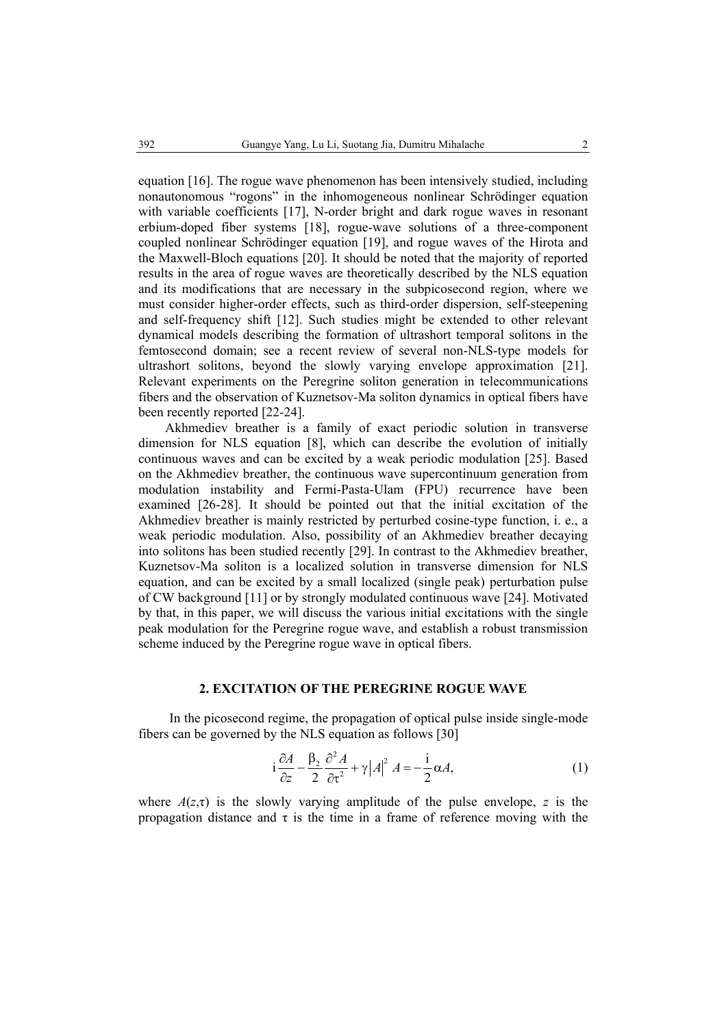equation [16]. The rogue wave phenomenon has been intensively studied, including nonautonomous "rogons" in the inhomogeneous nonlinear Schrödinger equation with variable coefficients [17], N-order bright and dark rogue waves in resonant erbium-doped fiber systems [18], rogue-wave solutions of a three-component coupled nonlinear Schrödinger equation [19], and rogue waves of the Hirota and the Maxwell-Bloch equations [20]. It should be noted that the majority of reported results in the area of rogue waves are theoretically described by the NLS equation and its modifications that are necessary in the subpicosecond region, where we must consider higher-order effects, such as third-order dispersion, self-steepening and self-frequency shift [12]. Such studies might be extended to other relevant dynamical models describing the formation of ultrashort temporal solitons in the femtosecond domain; see a recent review of several non-NLS-type models for ultrashort solitons, beyond the slowly varying envelope approximation [21]. Relevant experiments on the Peregrine soliton generation in telecommunications fibers and the observation of Kuznetsov-Ma soliton dynamics in optical fibers have been recently reported [22-24].

Akhmediev breather is a family of exact periodic solution in transverse dimension for NLS equation [8], which can describe the evolution of initially continuous waves and can be excited by a weak periodic modulation [25]. Based on the Akhmediev breather, the continuous wave supercontinuum generation from modulation instability and Fermi-Pasta-Ulam (FPU) recurrence have been examined [26-28]. It should be pointed out that the initial excitation of the Akhmediev breather is mainly restricted by perturbed cosine-type function, i. e., a weak periodic modulation. Also, possibility of an Akhmediev breather decaying into solitons has been studied recently [29]. In contrast to the Akhmediev breather, Kuznetsov-Ma soliton is a localized solution in transverse dimension for NLS equation, and can be excited by a small localized (single peak) perturbation pulse of CW background [11] or by strongly modulated continuous wave [24]. Motivated by that, in this paper, we will discuss the various initial excitations with the single peak modulation for the Peregrine rogue wave, and establish a robust transmission scheme induced by the Peregrine rogue wave in optical fibers.

## **2. EXCITATION OF THE PEREGRINE ROGUE WAVE**

In the picosecond regime, the propagation of optical pulse inside single-mode fibers can be governed by the NLS equation as follows [30]

$$
i\frac{\partial A}{\partial z} - \frac{\beta_2}{2} \frac{\partial^2 A}{\partial t^2} + \gamma |A|^2 A = -\frac{i}{2} \alpha A,\tag{1}
$$

where  $A(z,\tau)$  is the slowly varying amplitude of the pulse envelope, *z* is the propagation distance and  $\tau$  is the time in a frame of reference moving with the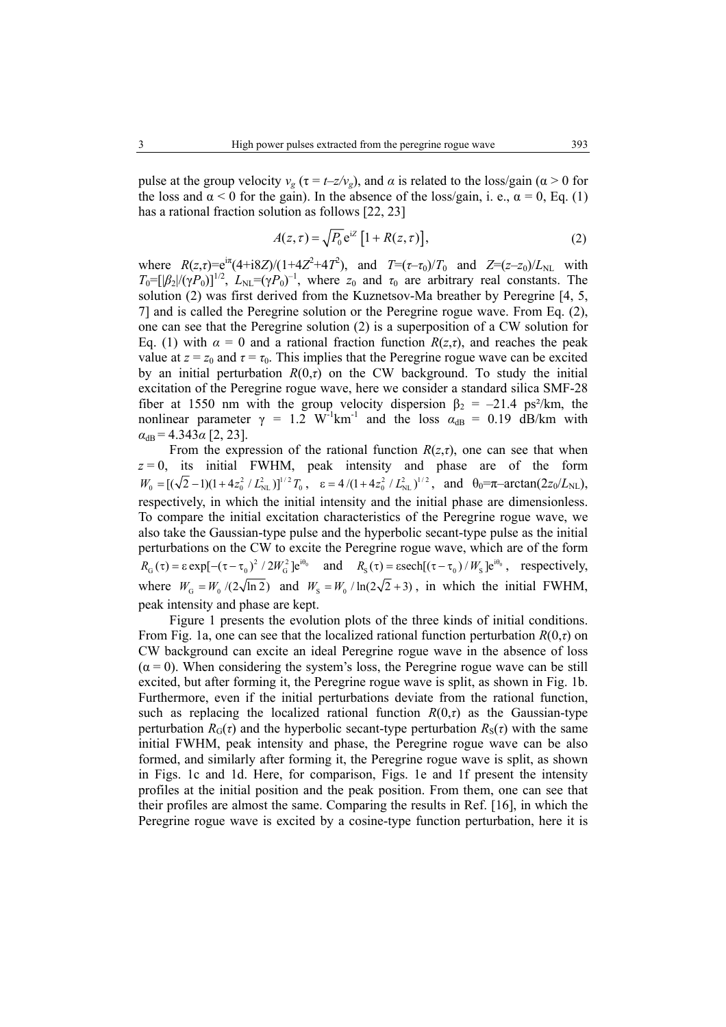pulse at the group velocity  $v_g$  ( $\tau = t - z/v_g$ ), and  $\alpha$  is related to the loss/gain ( $\alpha > 0$  for the loss and  $\alpha$  < 0 for the gain). In the absence of the loss/gain, i. e.,  $\alpha$  = 0, Eq. (1) has a rational fraction solution as follows [22, 23]

$$
A(z,\tau) = \sqrt{P_0} e^{iZ} \left[ 1 + R(z,\tau) \right],\tag{2}
$$

where  $R(z,\tau) = e^{i\pi} (4 + i8Z)/(1 + 4Z^2 + 4T^2)$ , and  $T = (\tau - \tau_0)/T_0$  and  $Z = (z - z_0)/L_{NL}$  with  $T_0 = [|\beta_2|/(\gamma P_0)]^{1/2}$ ,  $L_{NL} = (\gamma P_0)^{-1}$ , where  $z_0$  and  $\tau_0$  are arbitrary real constants. The solution (2) was first derived from the Kuznetsov-Ma breather by Peregrine [4, 5, 7] and is called the Peregrine solution or the Peregrine rogue wave. From Eq. (2), one can see that the Peregrine solution (2) is a superposition of a CW solution for Eq. (1) with *α* = 0 and a rational fraction function *R*(*z*,*τ*), and reaches the peak value at  $z = z_0$  and  $\tau = \tau_0$ . This implies that the Peregrine rogue wave can be excited by an initial perturbation  $R(0,\tau)$  on the CW background. To study the initial excitation of the Peregrine rogue wave, here we consider a standard silica SMF-28 fiber at 1550 nm with the group velocity dispersion  $\beta_2 = -21.4 \text{ ps}^2/\text{km}$ , the nonlinear parameter  $\gamma = 1.2 \text{ W}^{-1} \text{km}^{-1}$  and the loss  $\alpha_{dB} = 0.19 \text{ dB/km}$  with  $\alpha_{\rm dB} = 4.343\alpha$  [2, 23].

From the expression of the rational function  $R(z, \tau)$ , one can see that when  $z = 0$ , its initial FWHM, peak intensity and phase are of the form  $W_0 = [(\sqrt{2} - 1)(1 + 4z_0^2 / L_{NL}^2)]^{1/2} T_0$ ,  $\varepsilon = 4/(1 + 4z_0^2 / L_{NL}^2)^{1/2}$ , and  $\theta_0 = \pi - \arctan(2z_0/L_{NL})$ , respectively, in which the initial intensity and the initial phase are dimensionless. To compare the initial excitation characteristics of the Peregrine rogue wave, we also take the Gaussian-type pulse and the hyperbolic secant-type pulse as the initial perturbations on the CW to excite the Peregrine rogue wave, which are of the form  $R_G(\tau) = \varepsilon \exp[-(\tau - \tau_0)^2 / 2W_G^2]e^{i\theta_0}$  and  $R_S(\tau) = \varepsilon \operatorname{sech}[(\tau - \tau_0) / W_S]e^{i\theta_0}$ , respectively, where  $W_G = W_0 / (2\sqrt{\ln 2})$  and  $W_S = W_0 / \ln(2\sqrt{2} + 3)$ , in which the initial FWHM, peak intensity and phase are kept.

Figure 1 presents the evolution plots of the three kinds of initial conditions. From Fig. 1a, one can see that the localized rational function perturbation *R*(0,*τ*) on CW background can excite an ideal Peregrine rogue wave in the absence of loss  $(\alpha = 0)$ . When considering the system's loss, the Peregrine rogue wave can be still excited, but after forming it, the Peregrine rogue wave is split, as shown in Fig. 1b. Furthermore, even if the initial perturbations deviate from the rational function, such as replacing the localized rational function  $R(0,\tau)$  as the Gaussian-type perturbation  $R_G(\tau)$  and the hyperbolic secant-type perturbation  $R_S(\tau)$  with the same initial FWHM, peak intensity and phase, the Peregrine rogue wave can be also formed, and similarly after forming it, the Peregrine rogue wave is split, as shown in Figs. 1c and 1d. Here, for comparison, Figs. 1e and 1f present the intensity profiles at the initial position and the peak position. From them, one can see that their profiles are almost the same. Comparing the results in Ref. [16], in which the Peregrine rogue wave is excited by a cosine-type function perturbation, here it is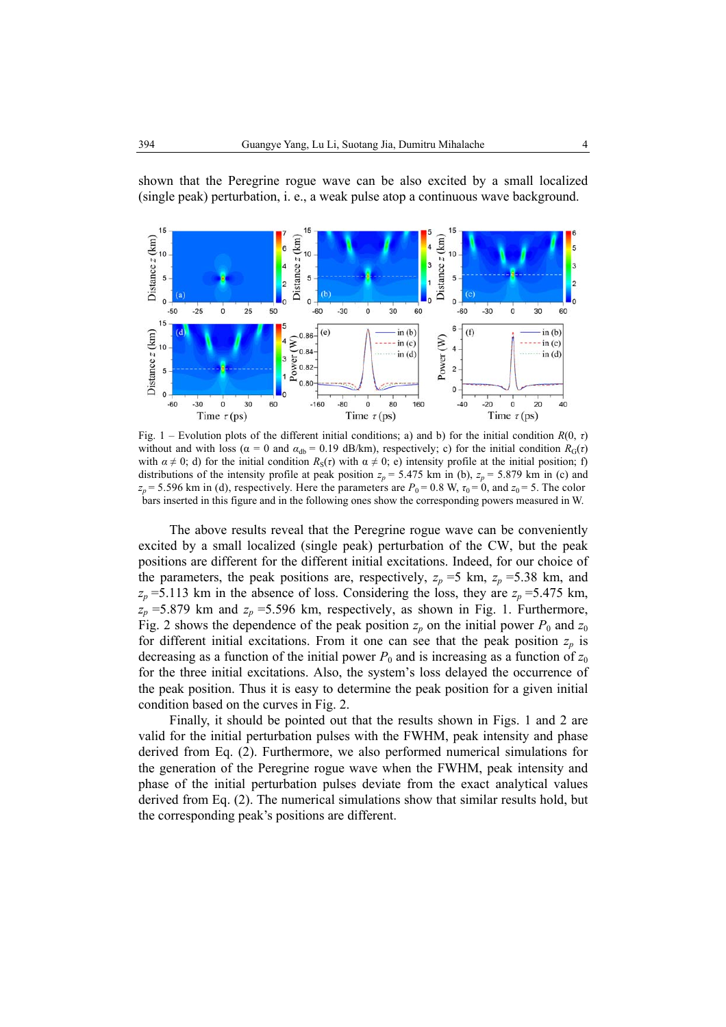

shown that the Peregrine rogue wave can be also excited by a small localized (single peak) perturbation, i. e., a weak pulse atop a continuous wave background.

Fig. 1 – Evolution plots of the different initial conditions; a) and b) for the initial condition *R*(0, *τ*) without and with loss ( $\alpha = 0$  and  $\alpha_{ab} = 0.19$  dB/km), respectively; c) for the initial condition  $R_G(\tau)$ with  $\alpha \neq 0$ ; d) for the initial condition  $R_S(\tau)$  with  $\alpha \neq 0$ ; e) intensity profile at the initial position; f) distributions of the intensity profile at peak position  $z_p = 5.475$  km in (b),  $z_p = 5.879$  km in (c) and  $z_p$  = 5.596 km in (d), respectively. Here the parameters are  $P_0$  = 0.8 W,  $\tau_0$  = 0, and  $z_0$  = 5. The color bars inserted in this figure and in the following ones show the corresponding powers measured in W.

The above results reveal that the Peregrine rogue wave can be conveniently excited by a small localized (single peak) perturbation of the CW, but the peak positions are different for the different initial excitations. Indeed, for our choice of the parameters, the peak positions are, respectively,  $z_p = 5$  km,  $z_p = 5.38$  km, and  $z_p$  =5.113 km in the absence of loss. Considering the loss, they are  $z_p$  =5.475 km,  $z_p$  =5.879 km and  $z_p$  =5.596 km, respectively, as shown in Fig. 1. Furthermore, Fig. 2 shows the dependence of the peak position  $z_p$  on the initial power  $P_0$  and  $z_0$ for different initial excitations. From it one can see that the peak position  $z_p$  is decreasing as a function of the initial power  $P_0$  and is increasing as a function of  $z_0$ for the three initial excitations. Also, the system's loss delayed the occurrence of the peak position. Thus it is easy to determine the peak position for a given initial condition based on the curves in Fig. 2.

Finally, it should be pointed out that the results shown in Figs. 1 and 2 are valid for the initial perturbation pulses with the FWHM, peak intensity and phase derived from Eq. (2). Furthermore, we also performed numerical simulations for the generation of the Peregrine rogue wave when the FWHM, peak intensity and phase of the initial perturbation pulses deviate from the exact analytical values derived from Eq. (2). The numerical simulations show that similar results hold, but the corresponding peak's positions are different.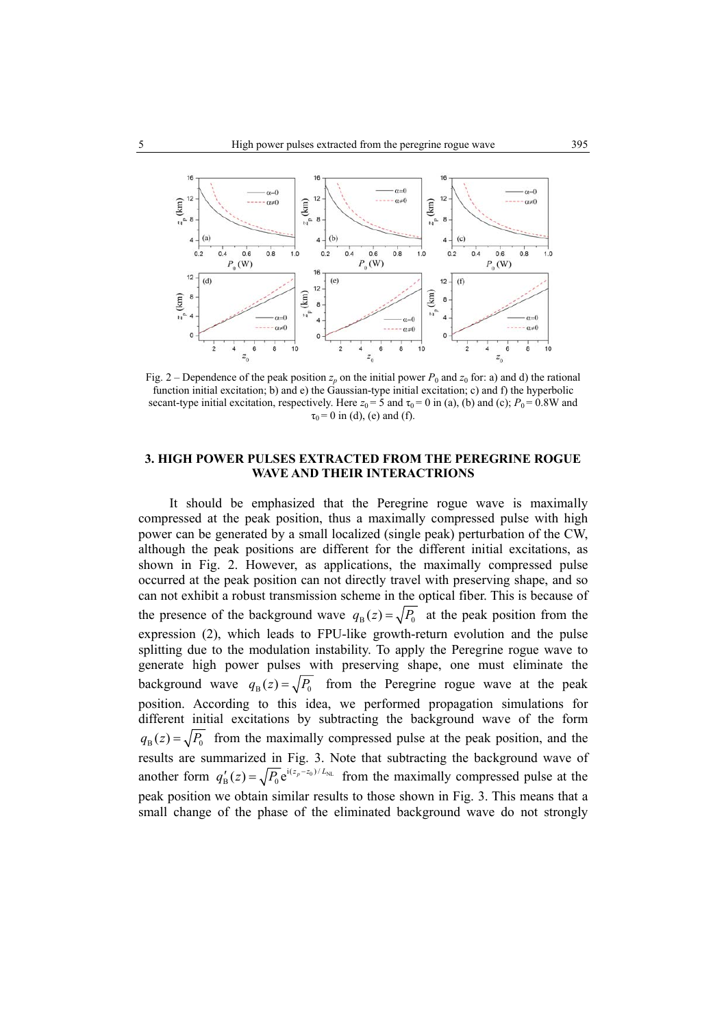

Fig. 2 – Dependence of the peak position  $z_p$  on the initial power  $P_0$  and  $z_0$  for: a) and d) the rational function initial excitation; b) and e) the Gaussian-type initial excitation; c) and f) the hyperbolic secant-type initial excitation, respectively. Here  $z_0 = 5$  and  $\tau_0 = 0$  in (a), (b) and (c);  $P_0 = 0.8W$  and  $\tau_0 = 0$  in (d), (e) and (f).

## **3. HIGH POWER PULSES EXTRACTED FROM THE PEREGRINE ROGUE WAVE AND THEIR INTERACTRIONS**

It should be emphasized that the Peregrine rogue wave is maximally compressed at the peak position, thus a maximally compressed pulse with high power can be generated by a small localized (single peak) perturbation of the CW, although the peak positions are different for the different initial excitations, as shown in Fig. 2. However, as applications, the maximally compressed pulse occurred at the peak position can not directly travel with preserving shape, and so can not exhibit a robust transmission scheme in the optical fiber. This is because of the presence of the background wave  $q_B(z) = \sqrt{P_0}$  at the peak position from the expression (2), which leads to FPU-like growth-return evolution and the pulse splitting due to the modulation instability. To apply the Peregrine rogue wave to generate high power pulses with preserving shape, one must eliminate the background wave  $q_B(z) = \sqrt{P_0}$  from the Peregrine rogue wave at the peak position. According to this idea, we performed propagation simulations for different initial excitations by subtracting the background wave of the form  $q_B(z) = \sqrt{P_0}$  from the maximally compressed pulse at the peak position, and the results are summarized in Fig. 3. Note that subtracting the background wave of another form  $q'_{B}(z) = \sqrt{P_0} e^{i(z_p - z_0)/L_{NL}}$  from the maximally compressed pulse at the peak position we obtain similar results to those shown in Fig. 3. This means that a small change of the phase of the eliminated background wave do not strongly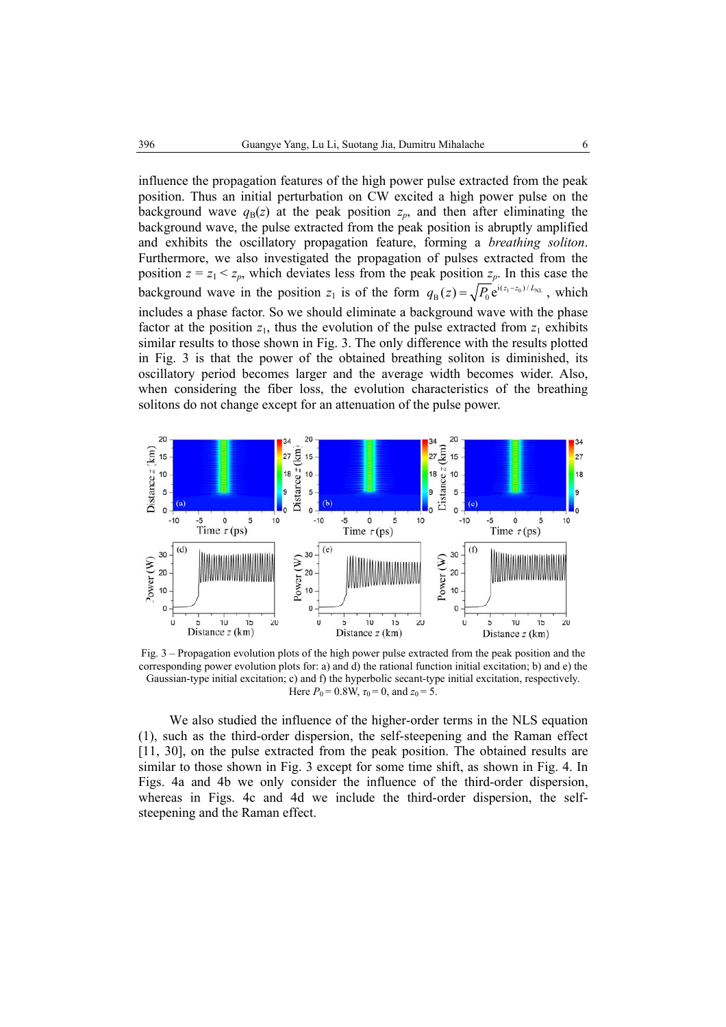influence the propagation features of the high power pulse extracted from the peak position. Thus an initial perturbation on CW excited a high power pulse on the background wave  $q_B(z)$  at the peak position  $z_p$ , and then after eliminating the background wave, the pulse extracted from the peak position is abruptly amplified and exhibits the oscillatory propagation feature, forming a *breathing soliton*. Furthermore, we also investigated the propagation of pulses extracted from the position  $z = z_1 < z_p$ , which deviates less from the peak position  $z_p$ . In this case the background wave in the position  $z_1$  is of the form  $q_B(z) = \sqrt{P_0} e^{i(z_1 - z_0)/L_{NL}}$ , which includes a phase factor. So we should eliminate a background wave with the phase factor at the position  $z_1$ , thus the evolution of the pulse extracted from  $z_1$  exhibits similar results to those shown in Fig. 3. The only difference with the results plotted in Fig. 3 is that the power of the obtained breathing soliton is diminished, its oscillatory period becomes larger and the average width becomes wider. Also, when considering the fiber loss, the evolution characteristics of the breathing solitons do not change except for an attenuation of the pulse power.



Fig. 3 – Propagation evolution plots of the high power pulse extracted from the peak position and the corresponding power evolution plots for: a) and d) the rational function initial excitation; b) and e) the Gaussian-type initial excitation; c) and f) the hyperbolic secant-type initial excitation, respectively. Here  $P_0 = 0.8W$ ,  $\tau_0 = 0$ , and  $z_0 = 5$ .

We also studied the influence of the higher-order terms in the NLS equation (1), such as the third-order dispersion, the self-steepening and the Raman effect [11, 30], on the pulse extracted from the peak position. The obtained results are similar to those shown in Fig. 3 except for some time shift, as shown in Fig. 4. In Figs. 4a and 4b we only consider the influence of the third-order dispersion, whereas in Figs. 4c and 4d we include the third-order dispersion, the selfsteepening and the Raman effect.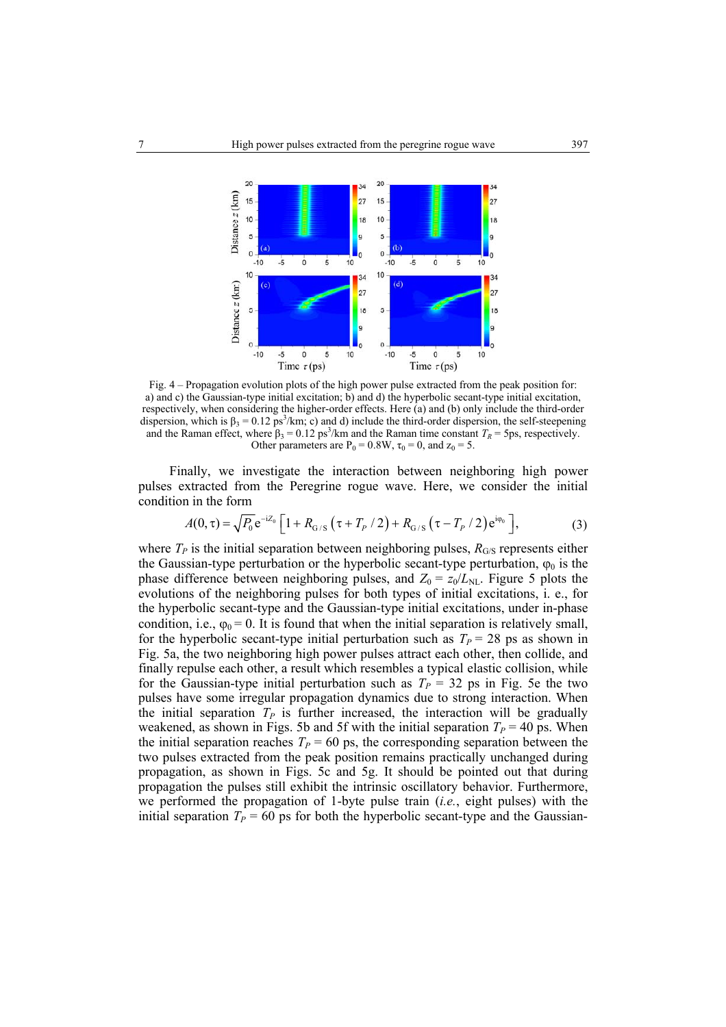

Fig. 4 – Propagation evolution plots of the high power pulse extracted from the peak position for: a) and c) the Gaussian-type initial excitation; b) and d) the hyperbolic secant-type initial excitation, respectively, when considering the higher-order effects. Here (a) and (b) only include the third-order dispersion, which is  $\beta_3 = 0.12 \text{ ps}^3/\text{km}$ ; c) and d) include the third-order dispersion, the self-steepening and the Raman effect, where  $\beta_3 = 0.12 \text{ ps}^3/\text{km}$  and the Raman time constant  $T_R = 5 \text{ps}$ , respectively. Other parameters are  $P_0 = 0.8W$ ,  $\tau_0 = 0$ , and  $z_0 = 5$ .

Finally, we investigate the interaction between neighboring high power pulses extracted from the Peregrine rogue wave. Here, we consider the initial condition in the form

$$
A(0, \tau) = \sqrt{P_0} e^{-iZ_0} \left[ 1 + R_{G/S} \left( \tau + T_P / 2 \right) + R_{G/S} \left( \tau - T_P / 2 \right) e^{i\varphi_0} \right],
$$
 (3)

where  $T_P$  is the initial separation between neighboring pulses,  $R_{\text{G/S}}$  represents either the Gaussian-type perturbation or the hyperbolic secant-type perturbation,  $\varphi_0$  is the phase difference between neighboring pulses, and  $Z_0 = z_0/L_{NL}$ . Figure 5 plots the evolutions of the neighboring pulses for both types of initial excitations, i. e., for the hyperbolic secant-type and the Gaussian-type initial excitations, under in-phase condition, i.e.,  $\varphi_0 = 0$ . It is found that when the initial separation is relatively small, for the hyperbolic secant-type initial perturbation such as  $T<sub>P</sub> = 28$  ps as shown in Fig. 5a, the two neighboring high power pulses attract each other, then collide, and finally repulse each other, a result which resembles a typical elastic collision, while for the Gaussian-type initial perturbation such as  $T_P = 32$  ps in Fig. 5e the two pulses have some irregular propagation dynamics due to strong interaction. When the initial separation  $T_P$  is further increased, the interaction will be gradually weakened, as shown in Figs. 5b and 5f with the initial separation  $T<sub>P</sub> = 40$  ps. When the initial separation reaches  $T_p = 60$  ps, the corresponding separation between the two pulses extracted from the peak position remains practically unchanged during propagation, as shown in Figs. 5c and 5g. It should be pointed out that during propagation the pulses still exhibit the intrinsic oscillatory behavior. Furthermore, we performed the propagation of 1-byte pulse train (*i.e.*, eight pulses) with the initial separation  $T_p = 60$  ps for both the hyperbolic secant-type and the Gaussian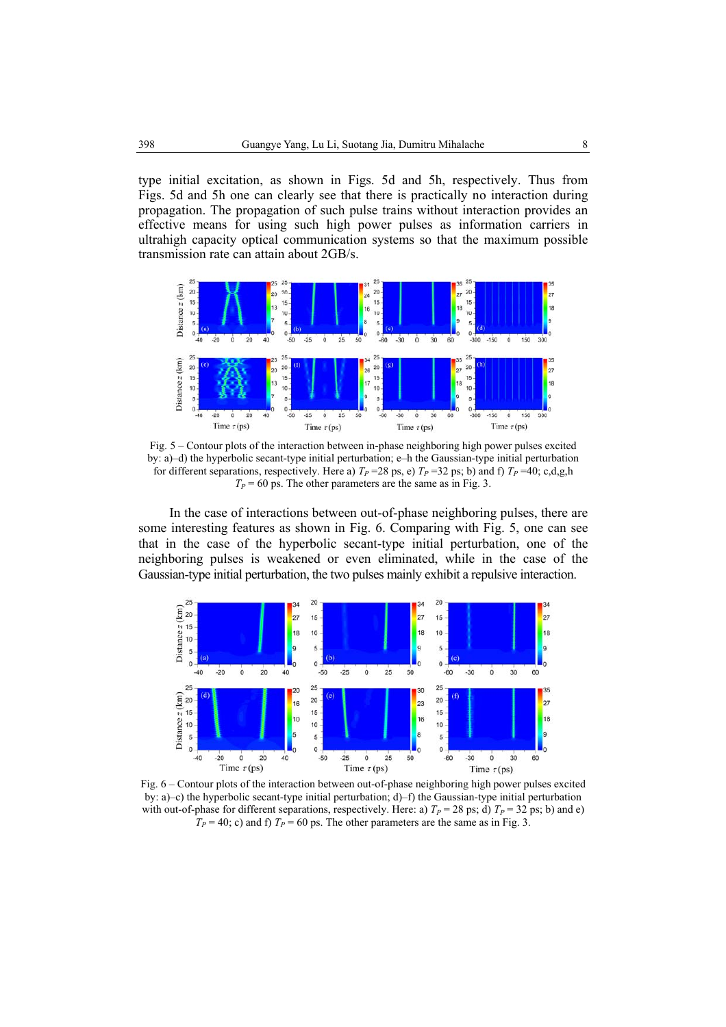type initial excitation, as shown in Figs. 5d and 5h, respectively. Thus from Figs. 5d and 5h one can clearly see that there is practically no interaction during propagation. The propagation of such pulse trains without interaction provides an effective means for using such high power pulses as information carriers in ultrahigh capacity optical communication systems so that the maximum possible transmission rate can attain about 2GB/s.



Fig. 5 – Contour plots of the interaction between in-phase neighboring high power pulses excited by: a)–d) the hyperbolic secant-type initial perturbation; e–h the Gaussian-type initial perturbation for different separations, respectively. Here a)  $T_P = 28$  ps, e)  $T_P = 32$  ps; b) and f)  $T_P = 40$ ; c,d,g,h  $T<sub>P</sub>$  = 60 ps. The other parameters are the same as in Fig. 3.

In the case of interactions between out-of-phase neighboring pulses, there are some interesting features as shown in Fig. 6. Comparing with Fig. 5, one can see that in the case of the hyperbolic secant-type initial perturbation, one of the neighboring pulses is weakened or even eliminated, while in the case of the Gaussian-type initial perturbation, the two pulses mainly exhibit a repulsive interaction.



Fig. 6 – Contour plots of the interaction between out-of-phase neighboring high power pulses excited by: a)–c) the hyperbolic secant-type initial perturbation; d)–f) the Gaussian-type initial perturbation with out-of-phase for different separations, respectively. Here: a)  $T_P = 28$  ps; d)  $T_P = 32$  ps; b) and e)  $T_p = 40$ ; c) and f)  $T_p = 60$  ps. The other parameters are the same as in Fig. 3.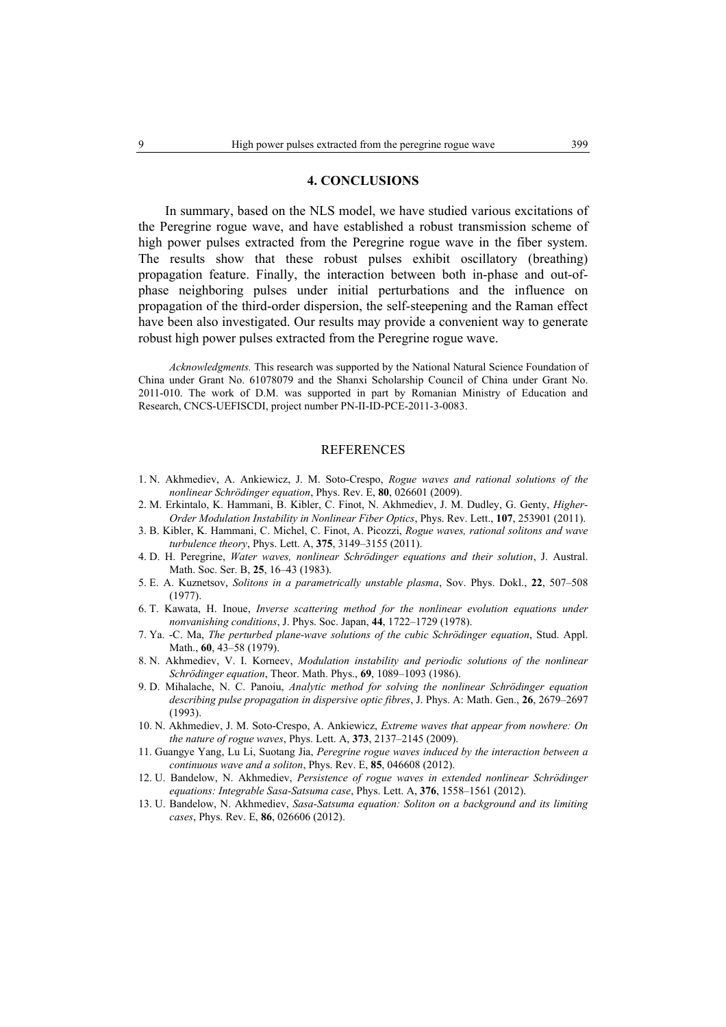### **4. CONCLUSIONS**

In summary, based on the NLS model, we have studied various excitations of the Peregrine rogue wave, and have established a robust transmission scheme of high power pulses extracted from the Peregrine rogue wave in the fiber system. The results show that these robust pulses exhibit oscillatory (breathing) propagation feature. Finally, the interaction between both in-phase and out-ofphase neighboring pulses under initial perturbations and the influence on propagation of the third-order dispersion, the self-steepening and the Raman effect have been also investigated. Our results may provide a convenient way to generate robust high power pulses extracted from the Peregrine rogue wave.

*Acknowledgments.* This research was supported by the National Natural Science Foundation of China under Grant No. 61078079 and the Shanxi Scholarship Council of China under Grant No. 2011-010. The work of D.M. was supported in part by Romanian Ministry of Education and Research, CNCS-UEFISCDI, project number PN-II-ID-PCE-2011-3-0083.

#### **REFERENCES**

- 1. N. Akhmediev, A. Ankiewicz, J. M. Soto-Crespo, *Rogue waves and rational solutions of the nonlinear Schrödinger equation*, Phys. Rev. E, **80**, 026601 (2009).
- 2. M. Erkintalo, K. Hammani, B. Kibler, C. Finot, N. Akhmediev, J. M. Dudley, G. Genty, *Higher-Order Modulation Instability in Nonlinear Fiber Optics*, Phys. Rev. Lett., **107**, 253901 (2011).
- 3. B. Kibler, K. Hammani, C. Michel, C. Finot, A. Picozzi, *Rogue waves, rational solitons and wave turbulence theory*, Phys. Lett. A, **375**, 3149–3155 (2011).
- 4. D. H. Peregrine, *Water waves, nonlinear Schrödinger equations and their solution*, J. Austral. Math. Soc. Ser. B, **25**, 16–43 (1983).
- 5. E. A. Kuznetsov, *Solitons in a parametrically unstable plasma*, Sov. Phys. Dokl., **22**, 507–508 (1977).
- 6. T. Kawata, H. Inoue, *Inverse scattering method for the nonlinear evolution equations under nonvanishing conditions*, J. Phys. Soc. Japan, **44**, 1722–1729 (1978).
- 7. Ya. -C. Ma, *The perturbed plane-wave solutions of the cubic Schrödinger equation*, Stud. Appl. Math., **60**, 43–58 (1979).
- 8. N. Akhmediev, V. I. Korneev, *Modulation instability and periodic solutions of the nonlinear Schrödinger equation*, Theor. Math. Phys., **69**, 1089–1093 (1986).
- 9. D. Mihalache, N. C. Panoiu, *Analytic method for solving the nonlinear Schrödinger equation describing pulse propagation in dispersive optic fibres*, J. Phys. A: Math. Gen., **26**, 2679–2697 (1993).
- 10. N. Akhmediev, J. M. Soto-Crespo, A. Ankiewicz, *Extreme waves that appear from nowhere: On the nature of rogue waves*, Phys. Lett. A, **373**, 2137–2145 (2009).
- 11. Guangye Yang, Lu Li, Suotang Jia, *Peregrine rogue waves induced by the interaction between a continuous wave and a soliton*, Phys. Rev. E, **85**, 046608 (2012).
- 12. U. Bandelow, N. Akhmediev, *Persistence of rogue waves in extended nonlinear Schrödinger equations: Integrable Sasa-Satsuma case*, Phys. Lett. A, **376**, 1558–1561 (2012).
- 13. U. Bandelow, N. Akhmediev, *Sasa-Satsuma equation: Soliton on a background and its limiting cases*, Phys. Rev. E, **86**, 026606 (2012).